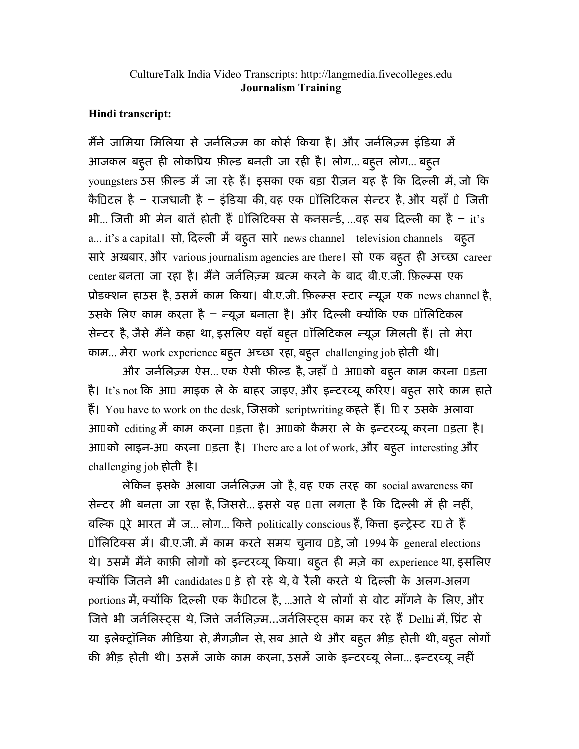## CultureTalk India Video Transcripts: http://langmedia.fivecolleges.edu Journalism Training

## Hindi transcript:

मैंने जामिया मिलिया से जर्नलिज़्म का कोर्स किया है। और जर्नलिज़्म इंडिया में आजकल बहुत ही लोकप्रिय फ़ील्ड बनती जा रही है। लोग...बहूत लोग...बहूत youngsters उस फ़ील्ड में जा रहे हैं। इसका एक बड़ा रीज़न यह है कि दिल्ली में, जो कि कै10िटल है – राजधानी है – इंडिया की, वह एक Uॉलिटिकल सेन्टर है, और यहाँ Uे जिती भी… जिती भी मेन बाते होती है □ांसिटिक्स से कनसन्डे, …वह सब दिल्ली का है − it's a... it's a capital। सो, दिल्ली में बहूत सारे news channel – television channels – बहूत सारे अख़बार, और various journalism agencies are there। सो एक बहुत ही अच्छा career center बनता जा रहा है। मैने जर्नेलिज़्म ख़त्म करने के बाद बी.ए.जी. फ़िल्म्स एक प्रोडक्शन हाउस है, उसमें काम किया। बी.ए.जी. फ़िल्म्स स्टार न्यूज़ एक news channel है, उसके लिए काम करता है – न्यूज़ बनाता है। और दिल्ली क्योंकि एक ⊔ॉलिटिकल सेन्टर है, जैसे मैने कहा था, इसलिए वहाँ बहुत ⊔ॉलिटिकल न्यूज़ मिलती है। तो मेरा काम... मेरा work experience बहूत अच्छा रहा, बहूत challenging job होती थी।

और जर्नलिज़्म ऐस... एक ऐसी फ़ील्ड है, जहाँ पे आपको बहुत काम करना पड़ता है। It's not कि आ¤ माइक ले के बाहर जाइए, और इन्टरव्यू करिए। बहुत सारे काम हाते है। You have to work on the desk, जिसको scriptwriting कहते है। ID र उसके अलावा आ0को editing में काम करना 0इता है। आ0को कैमरा ले के इन्टरव्यू करना 0इता है। आपको लाइन-अप करना पड़ता है। There are a lot of work, और बहुत interesting और challenging job होती है।

लेिकन इसके अलावा जनिलएम जो है, वह एक तरह का social awareness का सेन्टर भी बनता जा रहा है, जिससे... इससे यह पता लगता है कि दिल्ली में ही नहीं, बल्कि पूरे भारत मे ज… लोग… कित्ते politically conscious है, कित्ता इन्ट्रेस्ट र $\scriptstyle\rm II$  ते है  $\overline{D}$ िलिटिक्स में। बी.ए.जी. में काम करते समय चुनाव  $\overline{D}$ ड़े, जो 1994 के general elections थे। उसमे मैने काफ़ी लोगो को इन्टरव्यू किया। बहुत ही मज़े का experience था, इसलिए क्योंकि जितने भी candidates I डे हो रहे थे, वे रैली करते थे दिल्ली के अलग-अलग portions में, क्योंकि दिल्ली एक कै1ीटल है, ...आते थे लोगों से वोट माँगने के लिए, और जिते भी जर्नलिस्ट्स थे, जिते जर्नलिज़्म…जर्नलिस्ट्स काम कर रहे है Delhi मे, प्रिट से या इलेक्ट्रॉनिक मीडिया से, मैगज़ीन से, सब आते थे और बहुत भीड़ होती थी, बहुत लोगों की भीड़ होती थी। उसमें जाके काम करना, उसमें जाके इन्टरव्यू लेना... इन्टरव्यू नहीं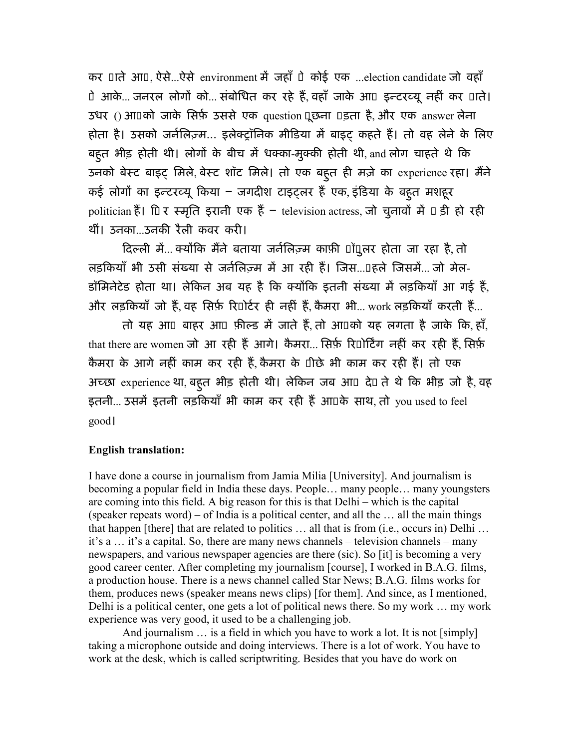कर UIते आU, ऐसे...ऐसे environment में जहाँ Uे कोई एक ...election candidate जो वहाँ ो आके… जनरल लोगो को… सर्बोधित कर रहे है, वहाँ जाके आ□ इन्टरव्यू नहीं कर □ाते। उधर () आपको जाके िसफ़ उससे एक question पूछना पड़ता है, और एक answer लेना होता है। उसको जर्नेलिज़्म… इलेक्ट्रॉनिक मीडिया में बाइट् कहते है। तो वह लेने के लिए बहूत भीड़ होती थी। लोगों के बीच में धक्का-मुक्की होती थी, and लोग चाहते थे कि उनको बेस्ट बाइट् मिले, बेस्ट शॉट मिले। तो एक बहुत ही मज़े का experience रहा। मैने कई लोगो का इन्टरव्यू किया – जगदीश टाइट्लर है एक, इंडिया के बहुत मशहूर politician है। ID र स्मृति इरानी एक है – television actress, जो चुनावो मे □ ड़ी हो रही थीं। उनका...उनकी रैली कवर करी।

दिल्ली मे... क्योंकि मैंने बताया जर्नेलिज़्म काफ़ी पाँपुलर होता जा रहा है, तो लड़कियाँ भी उसी संख्या से जर्नलिज़्म में आ रही है। जिस…□हले जिसमे… जो मेल-डॉमिनेटेड होता था। लेकिन अब यह है कि क्योंकि इतनी संख्या में लड़कियाँ आ गई है, और लड़कियाँ जो है, वह सिर्फ़ रि⊔ोर्टर ही नहीं है, कैमरा भी... work लड़कियाँ करती है...

तो यह आ□ बाहर आ□ फ़ील्ड में जाते है, तो आ□को यह लगता है जाके कि, हाँ, that there are women जो आ रही है आगे। कैमरा... सिर्फ़ रिपोर्टिंग नहीं कर रही है, सिर्फ़ कैमरा के आगे नहीं काम कर रही है, कैमरा के 1िछे भी काम कर रही है। तो एक अच्छा experience था, बहूत भीड़ होती थी। लेकिन जब आU देU ते थे कि भीड़ जो है, वह इतनी… उसमे इतनी लड़कियाँ भी काम कर रही है आ□के साथ, तो you used to feel good।

## English translation:

I have done a course in journalism from Jamia Milia [University]. And journalism is becoming a popular field in India these days. People… many people… many youngsters are coming into this field. A big reason for this is that Delhi – which is the capital (speaker repeats word) – of India is a political center, and all the … all the main things that happen [there] that are related to politics … all that is from (i.e., occurs in) Delhi … it's a … it's a capital. So, there are many news channels – television channels – many newspapers, and various newspaper agencies are there (sic). So [it] is becoming a very good career center. After completing my journalism [course], I worked in B.A.G. films, a production house. There is a news channel called Star News; B.A.G. films works for them, produces news (speaker means news clips) [for them]. And since, as I mentioned, Delhi is a political center, one gets a lot of political news there. So my work … my work experience was very good, it used to be a challenging job.

And journalism ... is a field in which you have to work a lot. It is not [simply] taking a microphone outside and doing interviews. There is a lot of work. You have to work at the desk, which is called scriptwriting. Besides that you have do work on